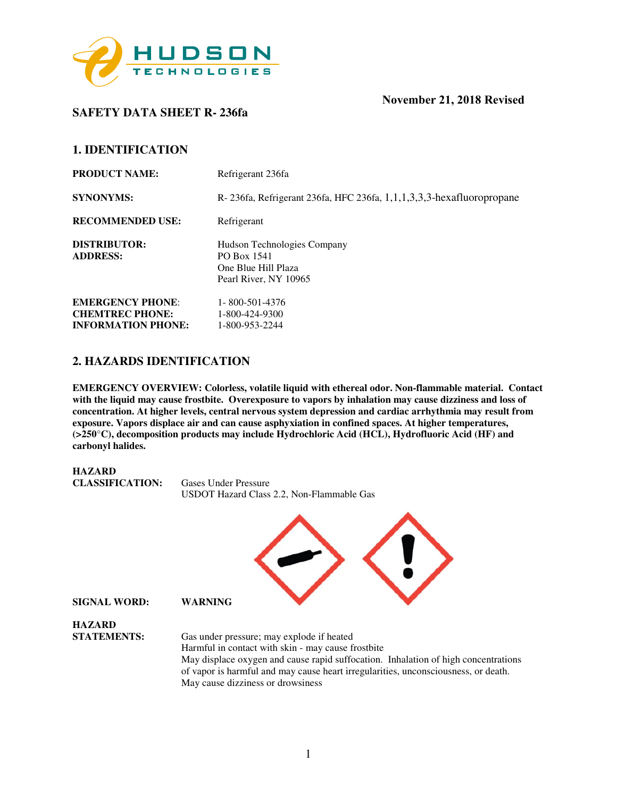

# **SAFETY DATA SHEET R- 236fa**

## **1. IDENTIFICATION**

| <b>PRODUCT NAME:</b>                   | Refrigerant 236fa                                                                          |
|----------------------------------------|--------------------------------------------------------------------------------------------|
| <b>SYNONYMS:</b>                       | R-236fa, Refrigerant 236fa, HFC 236fa, 1,1,1,3,3,3-hexafluoropropane                       |
| <b>RECOMMENDED USE:</b>                | Refrigerant                                                                                |
| <b>DISTRIBUTOR:</b><br><b>ADDRESS:</b> | Hudson Technologies Company<br>PO Box 1541<br>One Blue Hill Plaza<br>Pearl River, NY 10965 |
| <b>EMERGENCY PHONE:</b>                | 1-800-501-4376                                                                             |
| <b>CHEMTREC PHONE:</b>                 | 1-800-424-9300                                                                             |
| <b>INFORMATION PHONE:</b>              | 1-800-953-2244                                                                             |

## **2. HAZARDS IDENTIFICATION**

**EMERGENCY OVERVIEW: Colorless, volatile liquid with ethereal odor. Non-flammable material. Contact with the liquid may cause frostbite. Overexposure to vapors by inhalation may cause dizziness and loss of concentration. At higher levels, central nervous system depression and cardiac arrhythmia may result from exposure. Vapors displace air and can cause asphyxiation in confined spaces. At higher temperatures, (>250**°**C), decomposition products may include Hydrochloric Acid (HCL), Hydrofluoric Acid (HF) and carbonyl halides.** 



May cause dizziness or drowsiness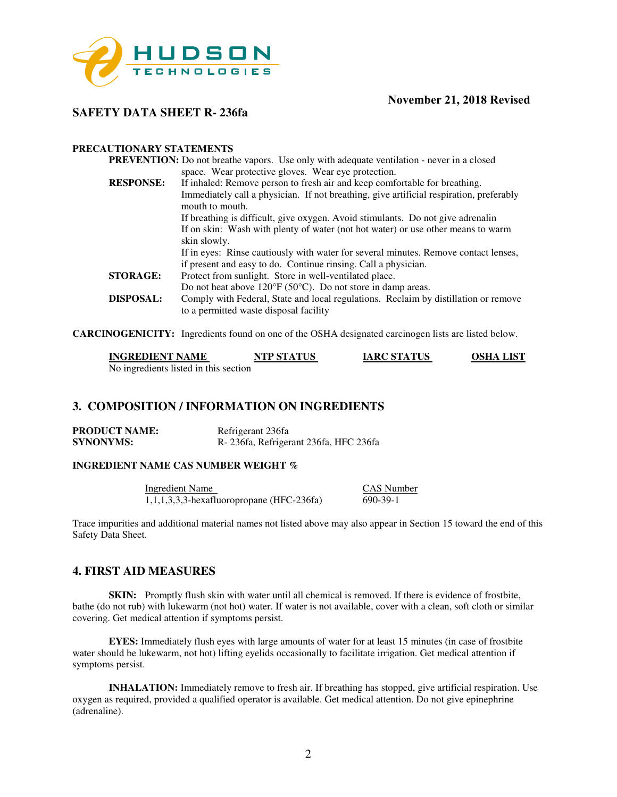

## **SAFETY DATA SHEET R- 236fa**

#### **PRECAUTIONARY STATEMENTS**

|                  | <b>PREVENTION:</b> Do not breathe vapors. Use only with adequate ventilation - never in a closed                              |
|------------------|-------------------------------------------------------------------------------------------------------------------------------|
|                  | space. Wear protective gloves. Wear eye protection.                                                                           |
| <b>RESPONSE:</b> | If inhaled: Remove person to fresh air and keep comfortable for breathing.                                                    |
|                  | Immediately call a physician. If not breathing, give artificial respiration, preferably                                       |
|                  | mouth to mouth.                                                                                                               |
|                  | If breathing is difficult, give oxygen. Avoid stimulants. Do not give adrenalin                                               |
|                  | If on skin: Wash with plenty of water (not hot water) or use other means to warm                                              |
|                  | skin slowly.                                                                                                                  |
|                  | If in eyes: Rinse cautiously with water for several minutes. Remove contact lenses,                                           |
|                  | if present and easy to do. Continue rinsing. Call a physician.                                                                |
| <b>STORAGE:</b>  | Protect from sunlight. Store in well-ventilated place.                                                                        |
|                  | Do not heat above $120^{\circ}F(50^{\circ}C)$ . Do not store in damp areas.                                                   |
| DISPOSAL:        | Comply with Federal, State and local regulations. Reclaim by distillation or remove<br>to a permitted waste disposal facility |
|                  |                                                                                                                               |

**CARCINOGENICITY:** Ingredients found on one of the OSHA designated carcinogen lists are listed below.

| <b>INGREDIENT NAME</b>                | <b>NTP STATUS</b> | <b>IARC STATUS</b> | <b>OSHA LIST</b> |
|---------------------------------------|-------------------|--------------------|------------------|
| No ingredients listed in this section |                   |                    |                  |

## **3. COMPOSITION / INFORMATION ON INGREDIENTS**

| <b>PRODUCT NAME:</b> | Refrigerant 236fa                          |
|----------------------|--------------------------------------------|
| <b>SYNONYMS:</b>     | R - 236 fa, Refrigerant 236 fa, HFC 236 fa |

#### **INGREDIENT NAME CAS NUMBER WEIGHT %**

Ingredient Name<br>
1.1.1.3.3.3-hexafluoropropane (HFC-236fa) 690-39-1  $1,1,1,3,3,3$ -hexafluoropropane (HFC-236fa)

Trace impurities and additional material names not listed above may also appear in Section 15 toward the end of this Safety Data Sheet.

### **4. FIRST AID MEASURES**

**SKIN:** Promptly flush skin with water until all chemical is removed. If there is evidence of frostbite, bathe (do not rub) with lukewarm (not hot) water. If water is not available, cover with a clean, soft cloth or similar covering. Get medical attention if symptoms persist.

**EYES:** Immediately flush eyes with large amounts of water for at least 15 minutes (in case of frostbite water should be lukewarm, not hot) lifting eyelids occasionally to facilitate irrigation. Get medical attention if symptoms persist.

**INHALATION:** Immediately remove to fresh air. If breathing has stopped, give artificial respiration. Use oxygen as required, provided a qualified operator is available. Get medical attention. Do not give epinephrine (adrenaline).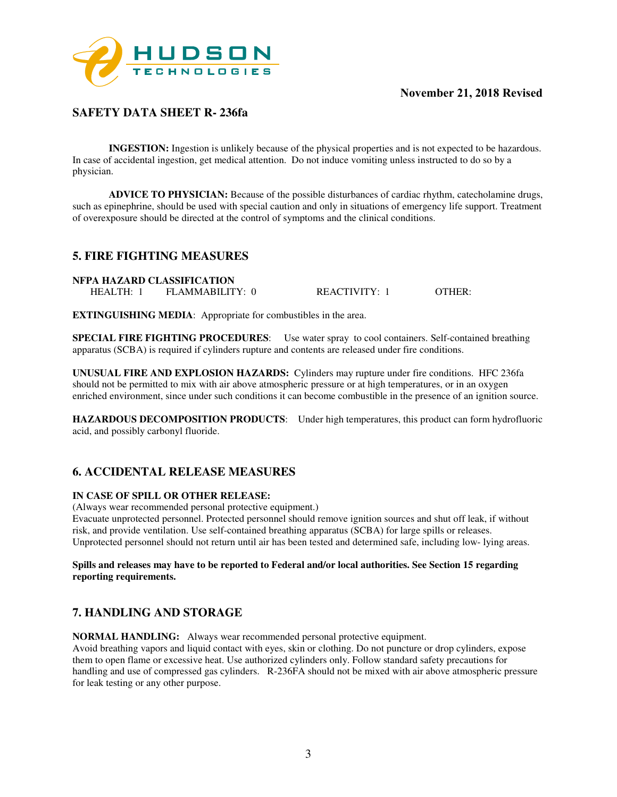

## **SAFETY DATA SHEET R- 236fa**

**INGESTION:** Ingestion is unlikely because of the physical properties and is not expected to be hazardous. In case of accidental ingestion, get medical attention. Do not induce vomiting unless instructed to do so by a physician.

**ADVICE TO PHYSICIAN:** Because of the possible disturbances of cardiac rhythm, catecholamine drugs, such as epinephrine, should be used with special caution and only in situations of emergency life support. Treatment of overexposure should be directed at the control of symptoms and the clinical conditions.

## **5. FIRE FIGHTING MEASURES**

**NFPA HAZARD CLASSIFICATION**  HEALTH: 1 FLAMMABILITY: 0 REACTIVITY: 1 OTHER:

**EXTINGUISHING MEDIA**: Appropriate for combustibles in the area.

**SPECIAL FIRE FIGHTING PROCEDURES**: Use water spray to cool containers. Self-contained breathing apparatus (SCBA) is required if cylinders rupture and contents are released under fire conditions.

**UNUSUAL FIRE AND EXPLOSION HAZARDS:** Cylinders may rupture under fire conditions. HFC 236fa should not be permitted to mix with air above atmospheric pressure or at high temperatures, or in an oxygen enriched environment, since under such conditions it can become combustible in the presence of an ignition source.

**HAZARDOUS DECOMPOSITION PRODUCTS**: Under high temperatures, this product can form hydrofluoric acid, and possibly carbonyl fluoride.

## **6. ACCIDENTAL RELEASE MEASURES**

#### **IN CASE OF SPILL OR OTHER RELEASE:**

(Always wear recommended personal protective equipment.)

Evacuate unprotected personnel. Protected personnel should remove ignition sources and shut off leak, if without risk, and provide ventilation. Use self-contained breathing apparatus (SCBA) for large spills or releases. Unprotected personnel should not return until air has been tested and determined safe, including low- lying areas.

#### **Spills and releases may have to be reported to Federal and/or local authorities. See Section 15 regarding reporting requirements.**

## **7. HANDLING AND STORAGE**

**NORMAL HANDLING:** Always wear recommended personal protective equipment.

Avoid breathing vapors and liquid contact with eyes, skin or clothing. Do not puncture or drop cylinders, expose them to open flame or excessive heat. Use authorized cylinders only. Follow standard safety precautions for handling and use of compressed gas cylinders. R-236FA should not be mixed with air above atmospheric pressure for leak testing or any other purpose.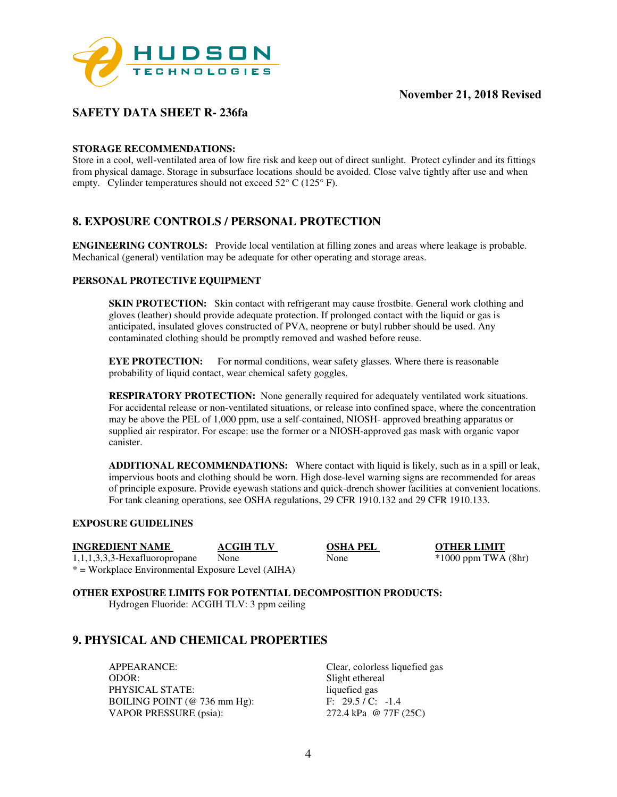

## **SAFETY DATA SHEET R- 236fa**

#### **STORAGE RECOMMENDATIONS:**

Store in a cool, well-ventilated area of low fire risk and keep out of direct sunlight. Protect cylinder and its fittings from physical damage. Storage in subsurface locations should be avoided. Close valve tightly after use and when empty. Cylinder temperatures should not exceed 52° C (125° F).

## **8. EXPOSURE CONTROLS / PERSONAL PROTECTION**

**ENGINEERING CONTROLS:** Provide local ventilation at filling zones and areas where leakage is probable. Mechanical (general) ventilation may be adequate for other operating and storage areas.

#### **PERSONAL PROTECTIVE EQUIPMENT**

**SKIN PROTECTION:** Skin contact with refrigerant may cause frostbite. General work clothing and gloves (leather) should provide adequate protection. If prolonged contact with the liquid or gas is anticipated, insulated gloves constructed of PVA, neoprene or butyl rubber should be used. Any contaminated clothing should be promptly removed and washed before reuse.

**EYE PROTECTION:** For normal conditions, wear safety glasses. Where there is reasonable probability of liquid contact, wear chemical safety goggles.

**RESPIRATORY PROTECTION:** None generally required for adequately ventilated work situations. For accidental release or non-ventilated situations, or release into confined space, where the concentration may be above the PEL of 1,000 ppm, use a self-contained, NIOSH- approved breathing apparatus or supplied air respirator. For escape: use the former or a NIOSH-approved gas mask with organic vapor canister.

**ADDITIONAL RECOMMENDATIONS:** Where contact with liquid is likely, such as in a spill or leak, impervious boots and clothing should be worn. High dose-level warning signs are recommended for areas of principle exposure. Provide eyewash stations and quick-drench shower facilities at convenient locations. For tank cleaning operations, see OSHA regulations, 29 CFR 1910.132 and 29 CFR 1910.133.

#### **EXPOSURE GUIDELINES**

**INGREDIENT NAME ACGIH TLV OSHA PEL OTHER LIMIT** 

1,1,1,3,3,3-Hexafluoropropane None None \*1000 ppm TWA (8hr) \* = Workplace Environmental Exposure Level (AIHA)

**OTHER EXPOSURE LIMITS FOR POTENTIAL DECOMPOSITION PRODUCTS:**  Hydrogen Fluoride: ACGIH TLV: 3 ppm ceiling

## **9. PHYSICAL AND CHEMICAL PROPERTIES**

APPEARANCE: Clear, colorless liquefied gas ODOR: Slight ethereal PHYSICAL STATE: liquefied gas BOILING POINT (@ 736 mm Hg): F: 29.5 / C: -1.4<br>VAPOR PRESSURE (psia): 272.4 kPa @ 77F (25C) VAPOR PRESSURE (psia):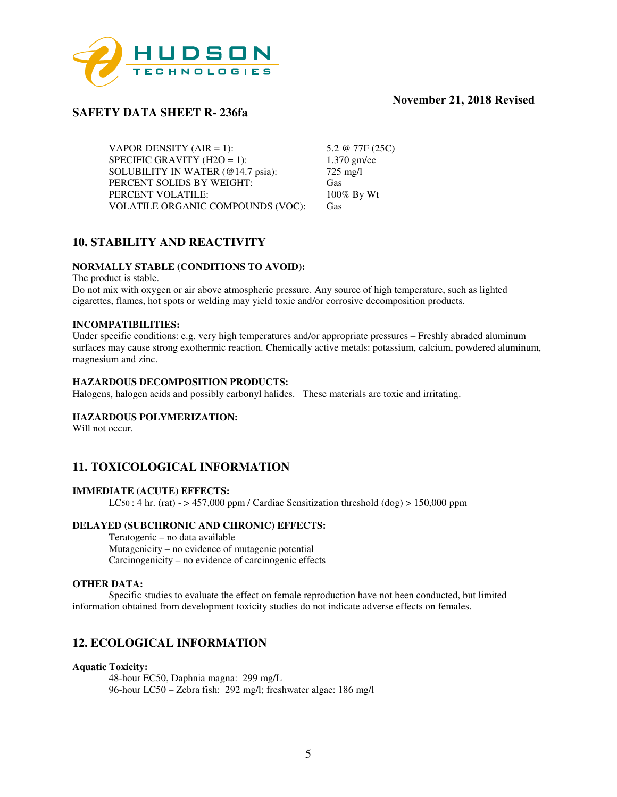

## **SAFETY DATA SHEET R- 236fa**

VAPOR DENSITY  $(AIR = 1)$ : 5.2 @ 77F (25C)<br>SPECIFIC GRAVITY  $(H2O = 1)$ : 1.370 gm/cc SPECIFIC GRAVITY (H2O = 1):  $1.370 \text{ gm}$ <br>SOLUBILITY IN WATER ( $@14.7 \text{ psia}$ ):  $725 \text{ mg/l}$ SOLUBILITY IN WATER (@14.7 psia): PERCENT SOLIDS BY WEIGHT: Gas<br>
PERCENT VOLATILE: 100% By Wt PERCENT VOLATILE: VOLATILE ORGANIC COMPOUNDS (VOC): Gas

## **10. STABILITY AND REACTIVITY**

#### **NORMALLY STABLE (CONDITIONS TO AVOID):**

The product is stable.

Do not mix with oxygen or air above atmospheric pressure. Any source of high temperature, such as lighted cigarettes, flames, hot spots or welding may yield toxic and/or corrosive decomposition products.

#### **INCOMPATIBILITIES:**

Under specific conditions: e.g. very high temperatures and/or appropriate pressures – Freshly abraded aluminum surfaces may cause strong exothermic reaction. Chemically active metals: potassium, calcium, powdered aluminum, magnesium and zinc.

#### **HAZARDOUS DECOMPOSITION PRODUCTS:**

Halogens, halogen acids and possibly carbonyl halides. These materials are toxic and irritating.

#### **HAZARDOUS POLYMERIZATION:**

Will not occur.

## **11. TOXICOLOGICAL INFORMATION**

#### **IMMEDIATE (ACUTE) EFFECTS:**

 $LC50:$  4 hr. (rat) -  $> 457,000$  ppm / Cardiac Sensitization threshold (dog)  $> 150,000$  ppm

#### **DELAYED (SUBCHRONIC AND CHRONIC) EFFECTS:**

Teratogenic – no data available Mutagenicity – no evidence of mutagenic potential Carcinogenicity – no evidence of carcinogenic effects

#### **OTHER DATA:**

Specific studies to evaluate the effect on female reproduction have not been conducted, but limited information obtained from development toxicity studies do not indicate adverse effects on females.

## **12. ECOLOGICAL INFORMATION**

#### **Aquatic Toxicity:**

48-hour EC50, Daphnia magna: 299 mg/L 96-hour LC50 – Zebra fish: 292 mg/l; freshwater algae: 186 mg/l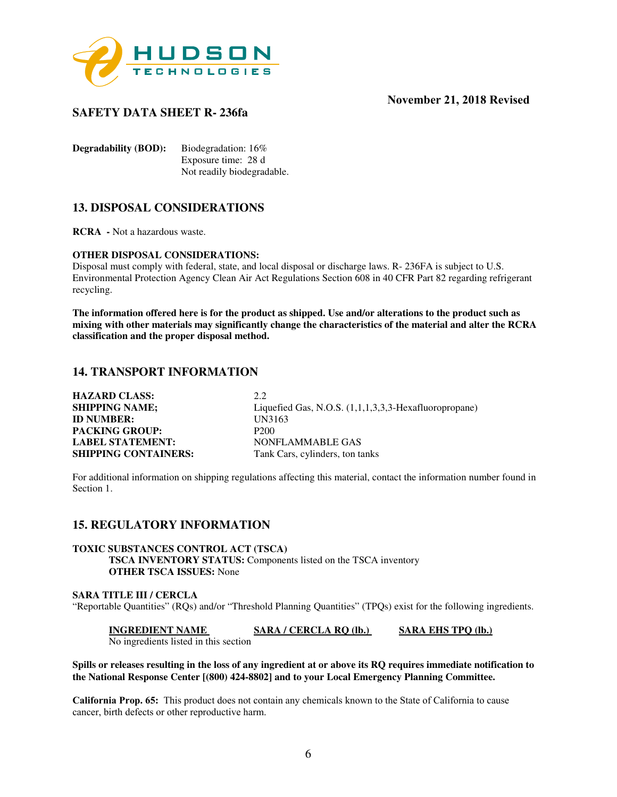

## **SAFETY DATA SHEET R- 236fa**

**Degradability (BOD):** Biodegradation: 16% Exposure time: 28 d Not readily biodegradable.

## **13. DISPOSAL CONSIDERATIONS**

**RCRA -** Not a hazardous waste.

#### **OTHER DISPOSAL CONSIDERATIONS:**

Disposal must comply with federal, state, and local disposal or discharge laws. R- 236FA is subject to U.S. Environmental Protection Agency Clean Air Act Regulations Section 608 in 40 CFR Part 82 regarding refrigerant recycling.

**The information offered here is for the product as shipped. Use and/or alterations to the product such as mixing with other materials may significantly change the characteristics of the material and alter the RCRA classification and the proper disposal method.** 

## **14. TRANSPORT INFORMATION**

| <b>HAZARD CLASS:</b>        | 2.2.                                                      |
|-----------------------------|-----------------------------------------------------------|
| <b>SHIPPING NAME;</b>       | Liquefied Gas, N.O.S. $(1,1,1,3,3,3)$ -Hexafluoropropane) |
| <b>ID NUMBER:</b>           | UN3163                                                    |
| <b>PACKING GROUP:</b>       | P <sub>200</sub>                                          |
| <b>LABEL STATEMENT:</b>     | NONFLAMMABLE GAS                                          |
| <b>SHIPPING CONTAINERS:</b> | Tank Cars, cylinders, ton tanks                           |

For additional information on shipping regulations affecting this material, contact the information number found in Section 1.

## **15. REGULATORY INFORMATION**

## **TOXIC SUBSTANCES CONTROL ACT (TSCA)**

**TSCA INVENTORY STATUS:** Components listed on the TSCA inventory **OTHER TSCA ISSUES:** None

#### **SARA TITLE III / CERCLA**  "Reportable Quantities" (RQs) and/or "Threshold Planning Quantities" (TPQs) exist for the following ingredients.

**INGREDIENT NAME SARA / CERCLA RQ (lb.)** SARA EHS TPQ (lb.) No ingredients listed in this section

#### **Spills or releases resulting in the loss of any ingredient at or above its RQ requires immediate notification to the National Response Center [(800) 424-8802] and to your Local Emergency Planning Committee.**

**California Prop. 65:** This product does not contain any chemicals known to the State of California to cause cancer, birth defects or other reproductive harm.